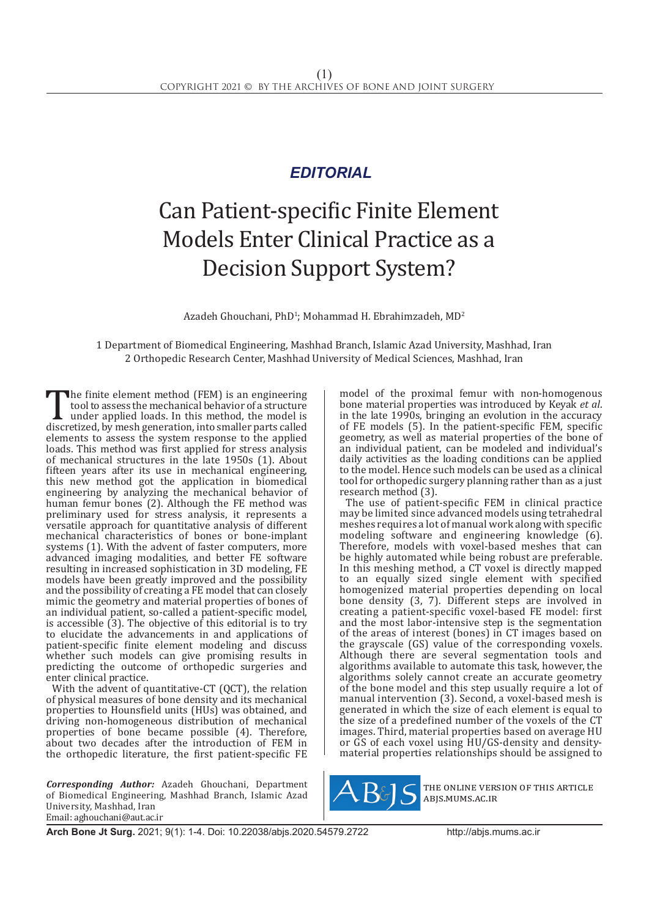## *EDITORIAL*

## Can Patient-specific Finite Element Models Enter Clinical Practice as a Decision Support System?

 $A$ zadeh Ghouchani, Ph $D^1$ ; Mohammad H. Ebrahimzadeh, M $D^2$ 

1 Department of Biomedical Engineering, Mashhad Branch, Islamic Azad University, Mashhad, Iran 2 Orthopedic Research Center, Mashhad University of Medical Sciences, Mashhad, Iran

The finite element method (FEM) is an engineering<br>tool to assess the mechanical behavior of a structure<br>under applied loads. In this method, the model is<br>discretized, by mesh generation, into smaller parts called<br>alamants tool to assess the mechanical behavior of a structure under applied loads. In this method, the model is discretized, by mesh generation, into smaller parts called elements to assess the system response to the applied loads. This method was first applied for stress analysis of mechanical structures in the late 1950s (1). About fifteen years after its use in mechanical engineering, this new method got the application in biomedical engineering by analyzing the mechanical behavior of human femur bones (2). Although the FE method was preliminary used for stress analysis, it represents a versatile approach for quantitative analysis of different mechanical characteristics of bones or bone-implant systems (1). With the advent of faster computers, more advanced imaging modalities, and better FE software resulting in increased sophistication in 3D modeling, FE models have been greatly improved and the possibility and the possibility of creating a FE model that can closely mimic the geometry and material properties of bones of an individual patient, so-called a patient-specific model, is accessible (3). The objective of this editorial is to try to elucidate the advancements in and applications of patient-specific finite element modeling and discuss whether such models can give promising results in predicting the outcome of orthopedic surgeries and enter clinical practice.

With the advent of quantitative-CT (QCT), the relation of physical measures of bone density and its mechanical properties to Hounsfield units (HUs) was obtained, and driving non-homogeneous distribution of mechanical properties of bone became possible (4). Therefore, about two decades after the introduction of FEM in the orthopedic literature, the first patient-specific FE

*Corresponding Author:* Azadeh Ghouchani, Department of Biomedical Engineering, Mashhad Branch, Islamic Azad University, Mashhad, Iran Email: aghouchani@aut.ac.ir

model of the proximal femur with non-homogenous bone material properties was introduced by Keyak *et al*. in the late 1990s, bringing an evolution in the accuracy of FE models (5). In the patient-specific FEM, specific geometry, as well as material properties of the bone of an individual patient, can be modeled and individual's daily activities as the loading conditions can be applied to the model. Hence such models can be used as a clinical tool for orthopedic surgery planning rather than as a just research method (3).

The use of patient-specific FEM in clinical practice may be limited since advanced models using tetrahedral meshes requires a lot of manual work along with specific modeling software and engineering knowledge (6). Therefore, models with voxel-based meshes that can be highly automated while being robust are preferable. In this meshing method, a CT voxel is directly mapped to an equally sized single element with specified homogenized material properties depending on local bone density (3, 7). Different steps are involved in creating a patient-specific voxel-based FE model: first and the most labor-intensive step is the segmentation of the areas of interest (bones) in CT images based on the grayscale (GS) value of the corresponding voxels. Although there are several segmentation tools and algorithms available to automate this task, however, the algorithms solely cannot create an accurate geometry of the bone model and this step usually require a lot of manual intervention (3). Second, a voxel-based mesh is generated in which the size of each element is equal to the size of a predefined number of the voxels of the CT images. Third, material properties based on average HU or GS of each voxel using HU/GS-density and densitymaterial properties relationships should be assigned to



the online version of this article abjs.mums.ac.ir

**Arch Bone Jt Surg.** 2021; 9(1): 1-4. Doi: 10.22038/abjs.2020.54579.2722http://abjs.mums.ac.ir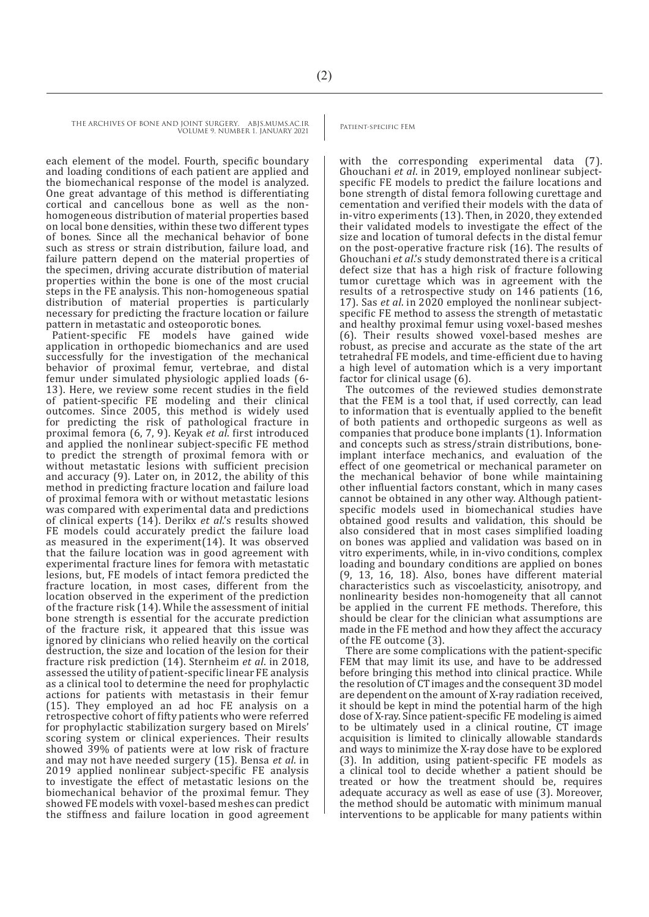THE ARCHIVES OF BONE AND JOINT SURGERY. ABJS.MUMS.AC.IR VOLUME 9. NUMBER 1. JANUARY 2021

each element of the model. Fourth, specific boundary and loading conditions of each patient are applied and the biomechanical response of the model is analyzed. One great advantage of this method is differentiating cortical and cancellous bone as well as the nonhomogeneous distribution of material properties based on local bone densities, within these two different types of bones. Since all the mechanical behavior of bone such as stress or strain distribution, failure load, and failure pattern depend on the material properties of the specimen, driving accurate distribution of material properties within the bone is one of the most crucial steps in the FE analysis. This non-homogeneous spatial distribution of material properties is particularly necessary for predicting the fracture location or failure pattern in metastatic and osteoporotic bones.

Patient-specific FE models have gained wide application in orthopedic biomechanics and are used successfully for the investigation of the mechanical behavior of proximal femur, vertebrae, and distal femur under simulated physiologic applied loads (6- 13). Here, we review some recent studies in the field of patient-specific FE modeling and their clinical outcomes. Since 2005, this method is widely used for predicting the risk of pathological fracture in proximal femora (6, 7, 9). Keyak *et al*. first introduced and applied the nonlinear subject-specific FE method to predict the strength of proximal femora with or without metastatic lesions with sufficient precision and accuracy (9). Later on, in 2012, the ability of this method in predicting fracture location and failure load of proximal femora with or without metastatic lesions was compared with experimental data and predictions of clinical experts (14). Derikx *et al*.'s results showed FE models could accurately predict the failure load as measured in the experiment(14). It was observed that the failure location was in good agreement with experimental fracture lines for femora with metastatic lesions, but, FE models of intact femora predicted the fracture location, in most cases, different from the location observed in the experiment of the prediction of the fracture risk (14). While the assessment of initial bone strength is essential for the accurate prediction of the fracture risk, it appeared that this issue was ignored by clinicians who relied heavily on the cortical destruction, the size and location of the lesion for their fracture risk prediction (14). Sternheim *et al*. in 2018, assessed the utility of patient-specific linear FE analysis as a clinical tool to determine the need for prophylactic actions for patients with metastasis in their femur (15). They employed an ad hoc FE analysis on a retrospective cohort of fifty patients who were referred for prophylactic stabilization surgery based on Mirels' scoring system or clinical experiences. Their results showed 39% of patients were at low risk of fracture and may not have needed surgery (15). Bensa *et al*. in 2019 applied nonlinear subject-specific FE analysis to investigate the effect of metastatic lesions on the biomechanical behavior of the proximal femur. They showed FE models with voxel-based meshes can predict the stiffness and failure location in good agreement

with the corresponding experimental data (7). Ghouchani *et al*. in 2019, employed nonlinear subjectspecific FE models to predict the failure locations and bone strength of distal femora following curettage and cementation and verified their models with the data of in-vitro experiments (13). Then, in 2020, they extended their validated models to investigate the effect of the size and location of tumoral defects in the distal femur on the post-operative fracture risk (16). The results of Ghouchani *et al*.'s study demonstrated there is a critical defect size that has a high risk of fracture following tumor curettage which was in agreement with the results of a retrospective study on 146 patients (16, 17). Sas *et al*. in 2020 employed the nonlinear subjectspecific FE method to assess the strength of metastatic and healthy proximal femur using voxel-based meshes (6). Their results showed voxel-based meshes are robust, as precise and accurate as the state of the art tetrahedral FE models, and time-efficient due to having a high level of automation which is a very important factor for clinical usage (6).

The outcomes of the reviewed studies demonstrate that the FEM is a tool that, if used correctly, can lead to information that is eventually applied to the benefit of both patients and orthopedic surgeons as well as companies that produce bone implants (1). Information and concepts such as stress/strain distributions, boneimplant interface mechanics, and evaluation of the effect of one geometrical or mechanical parameter on the mechanical behavior of bone while maintaining other influential factors constant, which in many cases cannot be obtained in any other way. Although patientspecific models used in biomechanical studies have obtained good results and validation, this should be also considered that in most cases simplified loading on bones was applied and validation was based on in vitro experiments, while, in in-vivo conditions, complex loading and boundary conditions are applied on bones (9, 13, 16, 18). Also, bones have different material characteristics such as viscoelasticity, anisotropy, and nonlinearity besides non-homogeneity that all cannot be applied in the current FE methods. Therefore, this should be clear for the clinician what assumptions are made in the FE method and how they affect the accuracy of the FE outcome (3).

There are some complications with the patient-specific FEM that may limit its use, and have to be addressed before bringing this method into clinical practice. While the resolution of CT images and the consequent 3D model are dependent on the amount of X-ray radiation received, it should be kept in mind the potential harm of the high dose of X-ray. Since patient-specific FE modeling is aimed to be ultimately used in a clinical routine, CT image acquisition is limited to clinically allowable standards and ways to minimize the X-ray dose have to be explored (3). In addition, using patient-specific FE models as a clinical tool to decide whether a patient should be treated or how the treatment should be, requires adequate accuracy as well as ease of use (3). Moreover, the method should be automatic with minimum manual interventions to be applicable for many patients within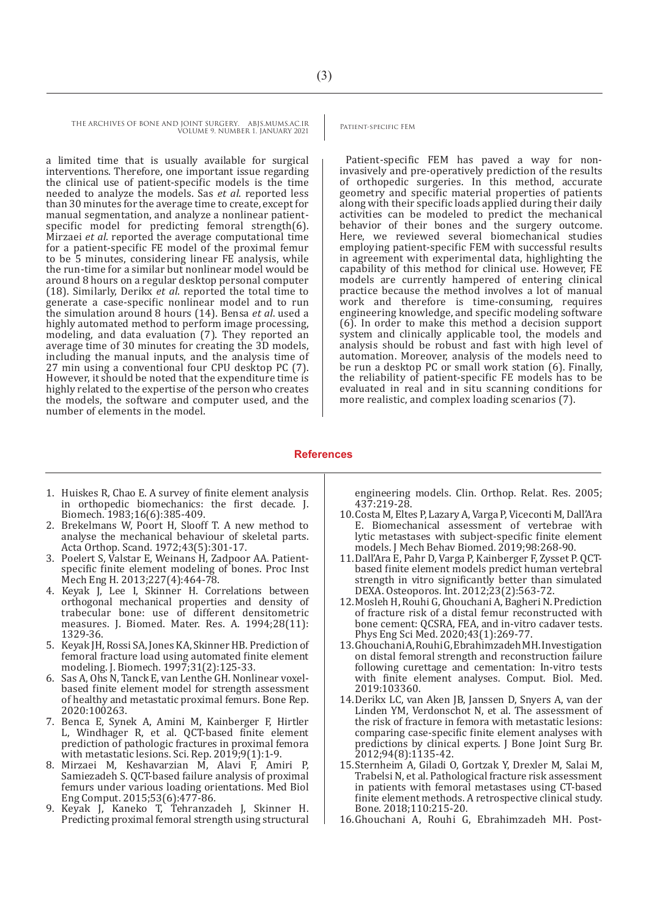THE ARCHIVES OF BONE AND JOINT SURGERY. ABJS.MUMS.AC.IR VOLUME 9. NUMBER 1. JANUARY 2021

a limited time that is usually available for surgical interventions. Therefore, one important issue regarding the clinical use of patient-specific models is the time needed to analyze the models. Sas *et al*. reported less than 30 minutes for the average time to create, except for manual segmentation, and analyze a nonlinear patientspecific model for predicting femoral strength(6). Mirzaei *et al*. reported the average computational time for a patient-specific FE model of the proximal femur to be 5 minutes, considering linear FE analysis, while the run-time for a similar but nonlinear model would be around 8 hours on a regular desktop personal computer (18). Similarly, Derikx *et al*. reported the total time to generate a case-specific nonlinear model and to run the simulation around 8 hours (14). Bensa *et al*. used a highly automated method to perform image processing, modeling, and data evaluation (7). They reported an average time of 30 minutes for creating the 3D models, including the manual inputs, and the analysis time of 27 min using a conventional four CPU desktop PC (7). However, it should be noted that the expenditure time is highly related to the expertise of the person who creates the models, the software and computer used, and the number of elements in the model.

Patient-specific FEM has paved a way for noninvasively and pre-operatively prediction of the results of orthopedic surgeries. In this method, accurate geometry and specific material properties of patients along with their specific loads applied during their daily activities can be modeled to predict the mechanical behavior of their bones and the surgery outcome. Here, we reviewed several biomechanical studies employing patient-specific FEM with successful results in agreement with experimental data, highlighting the capability of this method for clinical use. However, FE models are currently hampered of entering clinical practice because the method involves a lot of manual work and therefore is time-consuming, requires engineering knowledge, and specific modeling software (6). In order to make this method a decision support system and clinically applicable tool, the models and analysis should be robust and fast with high level of automation. Moreover, analysis of the models need to be run a desktop PC or small work station (6). Finally, the reliability of patient-specific FE models has to be evaluated in real and in situ scanning conditions for more realistic, and complex loading scenarios (7).

## **References**

- 1. Huiskes R, Chao E. A survey of finite element analysis in orthopedic biomechanics: the first decade. J. Biomech. 1983;16(6):385-409.
- 2. Brekelmans W, Poort H, Slooff T. A new method to analyse the mechanical behaviour of skeletal parts. Acta Orthop. Scand. 1972;43(5):301-17.
- 3. Poelert S, Valstar E, Weinans H, Zadpoor AA. Patientspecific finite element modeling of bones. Proc Inst Mech Eng H. 2013;227(4):464-78.
- 4. Keyak J, Lee I, Skinner H. Correlations between orthogonal mechanical properties and density of trabecular bone: use of different densitometric measures. J. Biomed. Mater. Res. A. 1994;28(11): 1329-36.
- 5. Keyak JH, Rossi SA, Jones KA, Skinner HB. Prediction of femoral fracture load using automated finite element modeling. J. Biomech. 1997;31(2):125-33.
- Sas A, Ohs N, Tanck E, van Lenthe GH. Nonlinear voxelbased finite element model for strength assessment of healthy and metastatic proximal femurs. Bone Rep. 2020:100263.
- 7. Benca E, Synek A, Amini M, Kainberger F, Hirtler L, Windhager R, et al. QCT-based finite element prediction of pathologic fractures in proximal femora with metastatic lesions. Sci. Rep. 2019;9(1):1-9.
- 8. Mirzaei M, Keshavarzian M, Alavi F, Amiri P, Samiezadeh S. QCT-based failure analysis of proximal femurs under various loading orientations. Med Biol Eng Comput. 2015;53(6):477-86.
- 9. Keyak J, Kaneko T, Tehranzadeh J, Skinner H. Predicting proximal femoral strength using structural

engineering models. Clin. Orthop. Relat. Res. 2005; 437:219-28.

- 10.Costa M, Eltes P, Lazary A, Varga P, Viceconti M, Dall'Ara E. Biomechanical assessment of vertebrae with lytic metastases with subject-specific finite element models. J Mech Behav Biomed. 2019;98:268-90.
- 11.Dall'Ara E, Pahr D, Varga P, Kainberger F, Zysset P. QCTbased finite element models predict human vertebral strength in vitro significantly better than simulated DEXA. Osteoporos. Int. 2012;23(2):563-72.
- 12.Mosleh H, Rouhi G, Ghouchani A, Bagheri N. Prediction of fracture risk of a distal femur reconstructed with bone cement: QCSRA, FEA, and in-vitro cadaver tests. Phys Eng Sci Med. 2020;43(1):269-77.
- 13.Ghouchani A, Rouhi G, Ebrahimzadeh MH. Investigation on distal femoral strength and reconstruction failure following curettage and cementation: In-vitro tests with finite element analyses. Comput. Biol. Med. 2019:103360.
- 14.Derikx LC, van Aken JB, Janssen D, Snyers A, van der Linden YM, Verdonschot N, et al. The assessment of the risk of fracture in femora with metastatic lesions: comparing case-specific finite element analyses with predictions by clinical experts. J Bone Joint Surg Br. 2012;94(8):1135-42.
- 15.Sternheim A, Giladi O, Gortzak Y, Drexler M, Salai M, Trabelsi N, et al. Pathological fracture risk assessment in patients with femoral metastases using CT-based finite element methods. A retrospective clinical study. Bone. 2018;110:215-20.
- 16.Ghouchani A, Rouhi G, Ebrahimzadeh MH. Post-